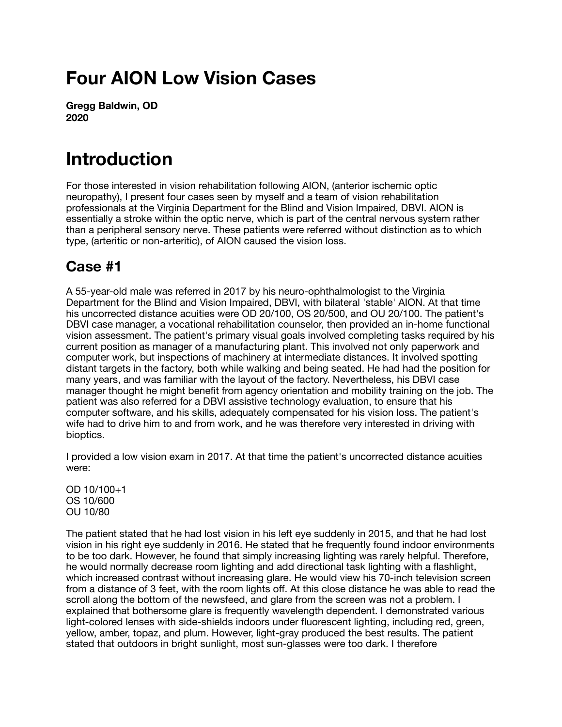# **Four AION Low Vision Cases**

**Gregg Baldwin, OD 2020** 

## **Introduction**

For those interested in vision rehabilitation following AION, (anterior ischemic optic neuropathy), I present four cases seen by myself and a team of vision rehabilitation professionals at the Virginia Department for the Blind and Vision Impaired, DBVI. AION is essentially a stroke within the optic nerve, which is part of the central nervous system rather than a peripheral sensory nerve. These patients were referred without distinction as to which type, (arteritic or non-arteritic), of AION caused the vision loss.

#### **Case #1**

A 55-year-old male was referred in 2017 by his neuro-ophthalmologist to the Virginia Department for the Blind and Vision Impaired, DBVI, with bilateral 'stable' AION. At that time his uncorrected distance acuities were OD 20/100, OS 20/500, and OU 20/100. The patient's DBVI case manager, a vocational rehabilitation counselor, then provided an in-home functional vision assessment. The patient's primary visual goals involved completing tasks required by his current position as manager of a manufacturing plant. This involved not only paperwork and computer work, but inspections of machinery at intermediate distances. It involved spotting distant targets in the factory, both while walking and being seated. He had had the position for many years, and was familiar with the layout of the factory. Nevertheless, his DBVI case manager thought he might benefit from agency orientation and mobility training on the job. The patient was also referred for a DBVI assistive technology evaluation, to ensure that his computer software, and his skills, adequately compensated for his vision loss. The patient's wife had to drive him to and from work, and he was therefore very interested in driving with bioptics.

I provided a low vision exam in 2017. At that time the patient's uncorrected distance acuities were:

OD 10/100+1 OS 10/600 OU 10/80

The patient stated that he had lost vision in his left eye suddenly in 2015, and that he had lost vision in his right eye suddenly in 2016. He stated that he frequently found indoor environments to be too dark. However, he found that simply increasing lighting was rarely helpful. Therefore, he would normally decrease room lighting and add directional task lighting with a flashlight, which increased contrast without increasing glare. He would view his 70-inch television screen from a distance of 3 feet, with the room lights off. At this close distance he was able to read the scroll along the bottom of the newsfeed, and glare from the screen was not a problem. I explained that bothersome glare is frequently wavelength dependent. I demonstrated various light-colored lenses with side-shields indoors under fluorescent lighting, including red, green, yellow, amber, topaz, and plum. However, light-gray produced the best results. The patient stated that outdoors in bright sunlight, most sun-glasses were too dark. I therefore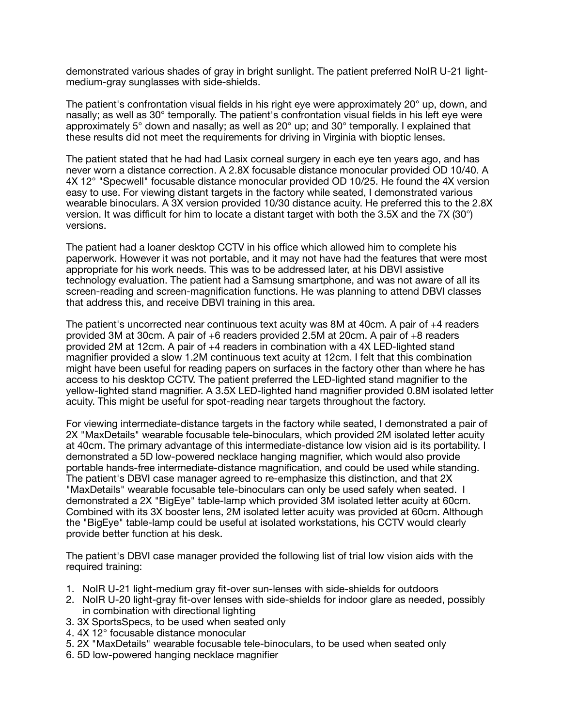demonstrated various shades of gray in bright sunlight. The patient preferred NoIR U-21 lightmedium-gray sunglasses with side-shields.

The patient's confrontation visual fields in his right eye were approximately 20° up, down, and nasally; as well as 30° temporally. The patient's confrontation visual fields in his left eye were approximately 5° down and nasally; as well as 20° up; and 30° temporally. I explained that these results did not meet the requirements for driving in Virginia with bioptic lenses.

The patient stated that he had had Lasix corneal surgery in each eye ten years ago, and has never worn a distance correction. A 2.8X focusable distance monocular provided OD 10/40. A 4X 12° "Specwell" focusable distance monocular provided OD 10/25. He found the 4X version easy to use. For viewing distant targets in the factory while seated, I demonstrated various wearable binoculars. A 3X version provided 10/30 distance acuity. He preferred this to the 2.8X version. It was difficult for him to locate a distant target with both the 3.5X and the 7X (30°) versions.

The patient had a loaner desktop CCTV in his office which allowed him to complete his paperwork. However it was not portable, and it may not have had the features that were most appropriate for his work needs. This was to be addressed later, at his DBVI assistive technology evaluation. The patient had a Samsung smartphone, and was not aware of all its screen-reading and screen-magnification functions. He was planning to attend DBVI classes that address this, and receive DBVI training in this area.

The patient's uncorrected near continuous text acuity was 8M at 40cm. A pair of +4 readers provided 3M at 30cm. A pair of +6 readers provided 2.5M at 20cm. A pair of +8 readers provided 2M at 12cm. A pair of +4 readers in combination with a 4X LED-lighted stand magnifier provided a slow 1.2M continuous text acuity at 12cm. I felt that this combination might have been useful for reading papers on surfaces in the factory other than where he has access to his desktop CCTV. The patient preferred the LED-lighted stand magnifier to the yellow-lighted stand magnifier. A 3.5X LED-lighted hand magnifier provided 0.8M isolated letter acuity. This might be useful for spot-reading near targets throughout the factory.

For viewing intermediate-distance targets in the factory while seated, I demonstrated a pair of 2X "MaxDetails" wearable focusable tele-binoculars, which provided 2M isolated letter acuity at 40cm. The primary advantage of this intermediate-distance low vision aid is its portability. I demonstrated a 5D low-powered necklace hanging magnifier, which would also provide portable hands-free intermediate-distance magnification, and could be used while standing. The patient's DBVI case manager agreed to re-emphasize this distinction, and that 2X "MaxDetails" wearable focusable tele-binoculars can only be used safely when seated. I demonstrated a 2X "BigEye" table-lamp which provided 3M isolated letter acuity at 60cm. Combined with its 3X booster lens, 2M isolated letter acuity was provided at 60cm. Although the "BigEye" table-lamp could be useful at isolated workstations, his CCTV would clearly provide better function at his desk.

The patient's DBVI case manager provided the following list of trial low vision aids with the required training:

- 1. NoIR U-21 light-medium gray fit-over sun-lenses with side-shields for outdoors
- 2. NoIR U-20 light-gray fit-over lenses with side-shields for indoor glare as needed, possibly in combination with directional lighting
- 3. 3X SportsSpecs, to be used when seated only
- 4. 4X 12° focusable distance monocular
- 5. 2X "MaxDetails" wearable focusable tele-binoculars, to be used when seated only
- 6. 5D low-powered hanging necklace magnifier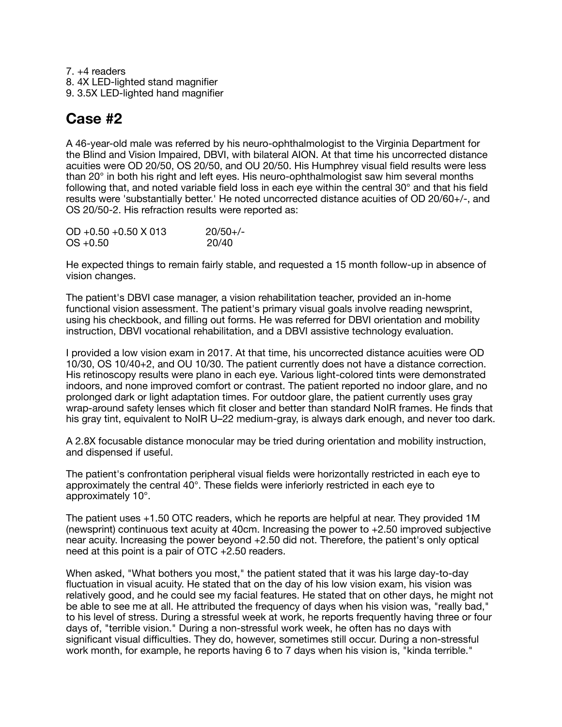7. +4 readers 8. 4X LED-lighted stand magnifier 9. 3.5X LED-lighted hand magnifier

#### **Case #2**

A 46-year-old male was referred by his neuro-ophthalmologist to the Virginia Department for the Blind and Vision Impaired, DBVI, with bilateral AION. At that time his uncorrected distance acuities were OD 20/50, OS 20/50, and OU 20/50. His Humphrey visual field results were less than 20° in both his right and left eyes. His neuro-ophthalmologist saw him several months following that, and noted variable field loss in each eye within the central 30° and that his field results were 'substantially better.' He noted uncorrected distance acuities of OD 20/60+/-, and OS 20/50-2. His refraction results were reported as:

| $OD + 0.50 + 0.50 \times 013$ | $20/50+/-$ |
|-------------------------------|------------|
| $OS + 0.50$                   | 20/40      |

He expected things to remain fairly stable, and requested a 15 month follow-up in absence of vision changes.

The patient's DBVI case manager, a vision rehabilitation teacher, provided an in-home functional vision assessment. The patient's primary visual goals involve reading newsprint, using his checkbook, and filling out forms. He was referred for DBVI orientation and mobility instruction, DBVI vocational rehabilitation, and a DBVI assistive technology evaluation.

I provided a low vision exam in 2017. At that time, his uncorrected distance acuities were OD 10/30, OS 10/40+2, and OU 10/30. The patient currently does not have a distance correction. His retinoscopy results were plano in each eye. Various light-colored tints were demonstrated indoors, and none improved comfort or contrast. The patient reported no indoor glare, and no prolonged dark or light adaptation times. For outdoor glare, the patient currently uses gray wrap-around safety lenses which fit closer and better than standard NoIR frames. He finds that his gray tint, equivalent to NoIR U–22 medium-gray, is always dark enough, and never too dark.

A 2.8X focusable distance monocular may be tried during orientation and mobility instruction, and dispensed if useful.

The patient's confrontation peripheral visual fields were horizontally restricted in each eye to approximately the central 40°. These fields were inferiorly restricted in each eye to approximately 10°.

The patient uses +1.50 OTC readers, which he reports are helpful at near. They provided 1M (newsprint) continuous text acuity at 40cm. Increasing the power to  $+2.50$  improved subjective near acuity. Increasing the power beyond +2.50 did not. Therefore, the patient's only optical need at this point is a pair of OTC +2.50 readers.

When asked, "What bothers you most," the patient stated that it was his large day-to-day fluctuation in visual acuity. He stated that on the day of his low vision exam, his vision was relatively good, and he could see my facial features. He stated that on other days, he might not be able to see me at all. He attributed the frequency of days when his vision was, "really bad," to his level of stress. During a stressful week at work, he reports frequently having three or four days of, "terrible vision." During a non-stressful work week, he often has no days with significant visual difficulties. They do, however, sometimes still occur. During a non-stressful work month, for example, he reports having 6 to 7 days when his vision is, "kinda terrible."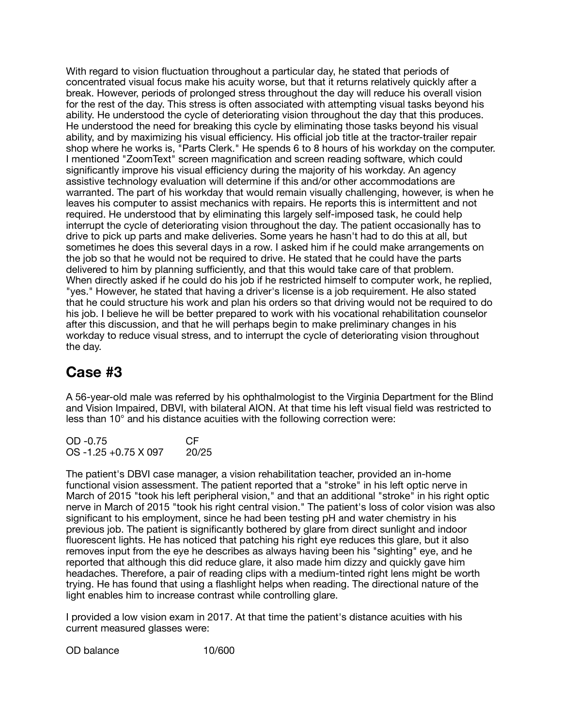With regard to vision fluctuation throughout a particular day, he stated that periods of concentrated visual focus make his acuity worse, but that it returns relatively quickly after a break. However, periods of prolonged stress throughout the day will reduce his overall vision for the rest of the day. This stress is often associated with attempting visual tasks beyond his ability. He understood the cycle of deteriorating vision throughout the day that this produces. He understood the need for breaking this cycle by eliminating those tasks beyond his visual ability, and by maximizing his visual efficiency. His official job title at the tractor-trailer repair shop where he works is, "Parts Clerk." He spends 6 to 8 hours of his workday on the computer. I mentioned "ZoomText" screen magnification and screen reading software, which could significantly improve his visual efficiency during the majority of his workday. An agency assistive technology evaluation will determine if this and/or other accommodations are warranted. The part of his workday that would remain visually challenging, however, is when he leaves his computer to assist mechanics with repairs. He reports this is intermittent and not required. He understood that by eliminating this largely self-imposed task, he could help interrupt the cycle of deteriorating vision throughout the day. The patient occasionally has to drive to pick up parts and make deliveries. Some years he hasn't had to do this at all, but sometimes he does this several days in a row. I asked him if he could make arrangements on the job so that he would not be required to drive. He stated that he could have the parts delivered to him by planning sufficiently, and that this would take care of that problem. When directly asked if he could do his job if he restricted himself to computer work, he replied, "yes." However, he stated that having a driver's license is a job requirement. He also stated that he could structure his work and plan his orders so that driving would not be required to do his job. I believe he will be better prepared to work with his vocational rehabilitation counselor after this discussion, and that he will perhaps begin to make preliminary changes in his workday to reduce visual stress, and to interrupt the cycle of deteriorating vision throughout the day.

#### **Case #3**

A 56-year-old male was referred by his ophthalmologist to the Virginia Department for the Blind and Vision Impaired, DBVI, with bilateral AION. At that time his left visual field was restricted to less than 10° and his distance acuities with the following correction were:

| OD -0.75                    | <b>CF</b> |
|-----------------------------|-----------|
| $OS -1.25 +0.75 \times 097$ | 20/25     |

The patient's DBVI case manager, a vision rehabilitation teacher, provided an in-home functional vision assessment. The patient reported that a "stroke" in his left optic nerve in March of 2015 "took his left peripheral vision," and that an additional "stroke" in his right optic nerve in March of 2015 "took his right central vision." The patient's loss of color vision was also significant to his employment, since he had been testing pH and water chemistry in his previous job. The patient is significantly bothered by glare from direct sunlight and indoor fluorescent lights. He has noticed that patching his right eye reduces this glare, but it also removes input from the eye he describes as always having been his "sighting" eye, and he reported that although this did reduce glare, it also made him dizzy and quickly gave him headaches. Therefore, a pair of reading clips with a medium-tinted right lens might be worth trying. He has found that using a flashlight helps when reading. The directional nature of the light enables him to increase contrast while controlling glare.

I provided a low vision exam in 2017. At that time the patient's distance acuities with his current measured glasses were:

OD balance 10/600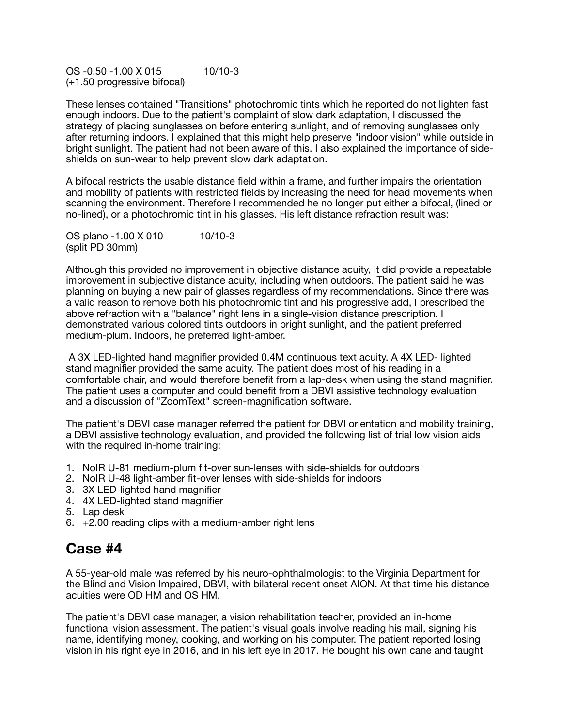OS -0.50 -1.00 X 015 10/10-3 (+1.50 progressive bifocal)

These lenses contained "Transitions" photochromic tints which he reported do not lighten fast enough indoors. Due to the patient's complaint of slow dark adaptation, I discussed the strategy of placing sunglasses on before entering sunlight, and of removing sunglasses only after returning indoors. I explained that this might help preserve "indoor vision" while outside in bright sunlight. The patient had not been aware of this. I also explained the importance of sideshields on sun-wear to help prevent slow dark adaptation.

A bifocal restricts the usable distance field within a frame, and further impairs the orientation and mobility of patients with restricted fields by increasing the need for head movements when scanning the environment. Therefore I recommended he no longer put either a bifocal, (lined or no-lined), or a photochromic tint in his glasses. His left distance refraction result was:

OS plano -1.00 X 010 10/10-3 (split PD 30mm)

Although this provided no improvement in objective distance acuity, it did provide a repeatable improvement in subjective distance acuity, including when outdoors. The patient said he was planning on buying a new pair of glasses regardless of my recommendations. Since there was a valid reason to remove both his photochromic tint and his progressive add, I prescribed the above refraction with a "balance" right lens in a single-vision distance prescription. I demonstrated various colored tints outdoors in bright sunlight, and the patient preferred medium-plum. Indoors, he preferred light-amber.

 A 3X LED-lighted hand magnifier provided 0.4M continuous text acuity. A 4X LED- lighted stand magnifier provided the same acuity. The patient does most of his reading in a comfortable chair, and would therefore benefit from a lap-desk when using the stand magnifier. The patient uses a computer and could benefit from a DBVI assistive technology evaluation and a discussion of "ZoomText" screen-magnification software.

The patient's DBVI case manager referred the patient for DBVI orientation and mobility training, a DBVI assistive technology evaluation, and provided the following list of trial low vision aids with the required in-home training:

- 1. NoIR U-81 medium-plum fit-over sun-lenses with side-shields for outdoors
- 2. NoIR U-48 light-amber fit-over lenses with side-shields for indoors
- 3. 3X LED-lighted hand magnifier
- 4. 4X LED-lighted stand magnifier
- 5. Lap desk
- 6. +2.00 reading clips with a medium-amber right lens

#### **Case #4**

A 55-year-old male was referred by his neuro-ophthalmologist to the Virginia Department for the Blind and Vision Impaired, DBVI, with bilateral recent onset AION. At that time his distance acuities were OD HM and OS HM.

The patient's DBVI case manager, a vision rehabilitation teacher, provided an in-home functional vision assessment. The patient's visual goals involve reading his mail, signing his name, identifying money, cooking, and working on his computer. The patient reported losing vision in his right eye in 2016, and in his left eye in 2017. He bought his own cane and taught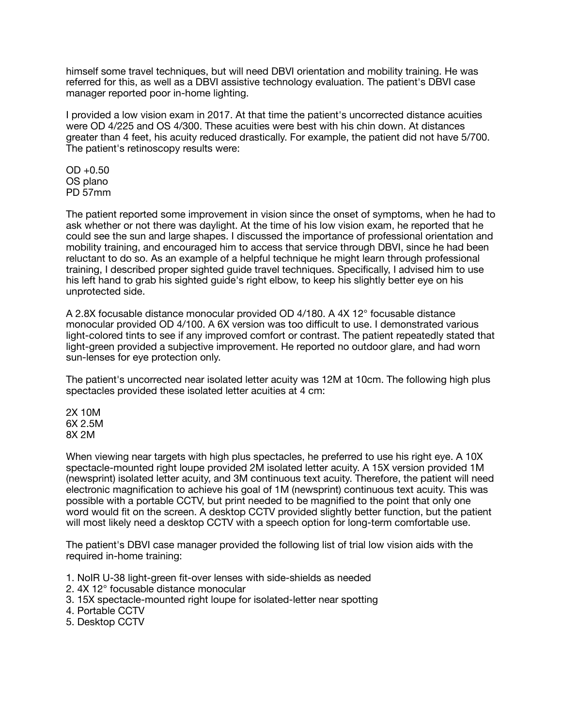himself some travel techniques, but will need DBVI orientation and mobility training. He was referred for this, as well as a DBVI assistive technology evaluation. The patient's DBVI case manager reported poor in-home lighting.

I provided a low vision exam in 2017. At that time the patient's uncorrected distance acuities were OD 4/225 and OS 4/300. These acuities were best with his chin down. At distances greater than 4 feet, his acuity reduced drastically. For example, the patient did not have 5/700. The patient's retinoscopy results were:

 $OD + 0.50$ OS plano PD 57mm

The patient reported some improvement in vision since the onset of symptoms, when he had to ask whether or not there was daylight. At the time of his low vision exam, he reported that he could see the sun and large shapes. I discussed the importance of professional orientation and mobility training, and encouraged him to access that service through DBVI, since he had been reluctant to do so. As an example of a helpful technique he might learn through professional training, I described proper sighted guide travel techniques. Specifically, I advised him to use his left hand to grab his sighted guide's right elbow, to keep his slightly better eye on his unprotected side.

A 2.8X focusable distance monocular provided OD 4/180. A 4X 12° focusable distance monocular provided OD 4/100. A 6X version was too difficult to use. I demonstrated various light-colored tints to see if any improved comfort or contrast. The patient repeatedly stated that light-green provided a subjective improvement. He reported no outdoor glare, and had worn sun-lenses for eye protection only.

The patient's uncorrected near isolated letter acuity was 12M at 10cm. The following high plus spectacles provided these isolated letter acuities at 4 cm:

2X 10M 6X 2.5M 8X 2M

When viewing near targets with high plus spectacles, he preferred to use his right eye. A 10X spectacle-mounted right loupe provided 2M isolated letter acuity. A 15X version provided 1M (newsprint) isolated letter acuity, and 3M continuous text acuity. Therefore, the patient will need electronic magnification to achieve his goal of 1M (newsprint) continuous text acuity. This was possible with a portable CCTV, but print needed to be magnified to the point that only one word would fit on the screen. A desktop CCTV provided slightly better function, but the patient will most likely need a desktop CCTV with a speech option for long-term comfortable use.

The patient's DBVI case manager provided the following list of trial low vision aids with the required in-home training:

- 1. NoIR U-38 light-green fit-over lenses with side-shields as needed
- 2. 4X 12° focusable distance monocular
- 3. 15X spectacle-mounted right loupe for isolated-letter near spotting
- 4. Portable CCTV
- 5. Desktop CCTV